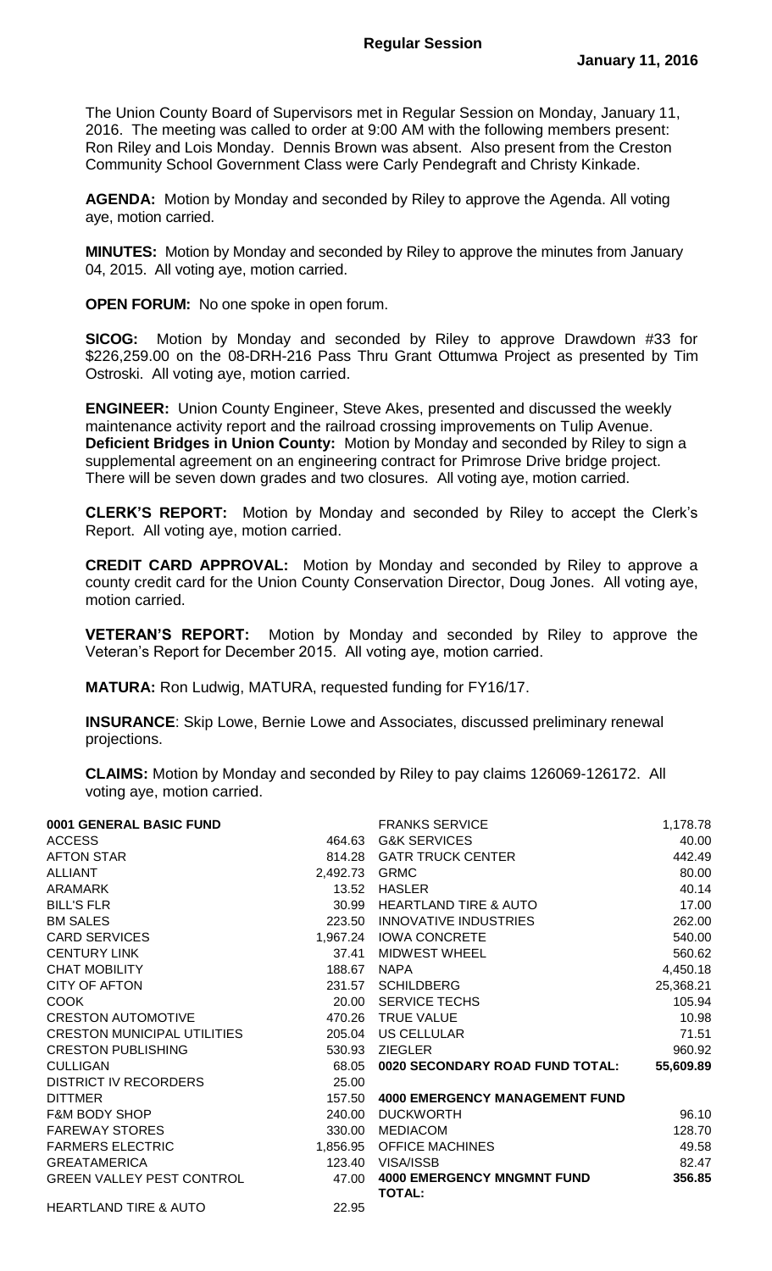The Union County Board of Supervisors met in Regular Session on Monday, January 11, 2016. The meeting was called to order at 9:00 AM with the following members present: Ron Riley and Lois Monday. Dennis Brown was absent. Also present from the Creston Community School Government Class were Carly Pendegraft and Christy Kinkade.

**AGENDA:** Motion by Monday and seconded by Riley to approve the Agenda. All voting aye, motion carried.

**MINUTES:** Motion by Monday and seconded by Riley to approve the minutes from January 04, 2015. All voting aye, motion carried.

**OPEN FORUM:** No one spoke in open forum.

**SICOG:** Motion by Monday and seconded by Riley to approve Drawdown #33 for \$226,259.00 on the 08-DRH-216 Pass Thru Grant Ottumwa Project as presented by Tim Ostroski. All voting aye, motion carried.

**ENGINEER:** Union County Engineer, Steve Akes, presented and discussed the weekly maintenance activity report and the railroad crossing improvements on Tulip Avenue. **Deficient Bridges in Union County:** Motion by Monday and seconded by Riley to sign a supplemental agreement on an engineering contract for Primrose Drive bridge project. There will be seven down grades and two closures. All voting aye, motion carried.

**CLERK'S REPORT:** Motion by Monday and seconded by Riley to accept the Clerk's Report. All voting aye, motion carried.

**CREDIT CARD APPROVAL:** Motion by Monday and seconded by Riley to approve a county credit card for the Union County Conservation Director, Doug Jones. All voting aye, motion carried.

**VETERAN'S REPORT:** Motion by Monday and seconded by Riley to approve the Veteran's Report for December 2015. All voting aye, motion carried.

**MATURA:** Ron Ludwig, MATURA, requested funding for FY16/17.

**INSURANCE**: Skip Lowe, Bernie Lowe and Associates, discussed preliminary renewal projections.

**CLAIMS:** Motion by Monday and seconded by Riley to pay claims 126069-126172. All voting aye, motion carried.

| 0001 GENERAL BASIC FUND          |          | <b>FRANKS SERVICE</b>                              | 1,178.78  |
|----------------------------------|----------|----------------------------------------------------|-----------|
| <b>ACCESS</b>                    | 464.63   | <b>G&amp;K SERVICES</b>                            | 40.00     |
| <b>AFTON STAR</b>                | 814.28   | <b>GATR TRUCK CENTER</b>                           | 442.49    |
| <b>ALLIANT</b>                   | 2,492.73 | <b>GRMC</b>                                        | 80.00     |
| <b>ARAMARK</b>                   | 13.52    | <b>HASLER</b>                                      | 40.14     |
| <b>BILL'S FLR</b>                | 30.99    | <b>HEARTLAND TIRE &amp; AUTO</b>                   | 17.00     |
| <b>BM SALES</b>                  | 223.50   | <b>INNOVATIVE INDUSTRIES</b>                       | 262.00    |
| <b>CARD SERVICES</b>             |          | 1,967.24 IOWA CONCRETE                             | 540.00    |
| <b>CENTURY LINK</b>              | 37.41    | <b>MIDWEST WHEEL</b>                               | 560.62    |
| <b>CHAT MOBILITY</b>             | 188.67   | <b>NAPA</b>                                        | 4,450.18  |
| <b>CITY OF AFTON</b>             | 231.57   | <b>SCHILDBERG</b>                                  | 25,368.21 |
| <b>COOK</b>                      | 20.00    | <b>SERVICE TECHS</b>                               | 105.94    |
| <b>CRESTON AUTOMOTIVE</b>        | 470.26   | <b>TRUE VALUE</b>                                  | 10.98     |
| CRESTON MUNICIPAL UTILITIES      | 205.04   | US CELLULAR                                        | 71.51     |
| <b>CRESTON PUBLISHING</b>        | 530.93   | <b>ZIEGLER</b>                                     | 960.92    |
| <b>CULLIGAN</b>                  | 68.05    | 0020 SECONDARY ROAD FUND TOTAL:                    | 55,609.89 |
| <b>DISTRICT IV RECORDERS</b>     | 25.00    |                                                    |           |
| <b>DITTMER</b>                   | 157.50   | <b>4000 EMERGENCY MANAGEMENT FUND</b>              |           |
| <b>F&amp;M BODY SHOP</b>         | 240.00   | <b>DUCKWORTH</b>                                   | 96.10     |
| <b>FAREWAY STORES</b>            | 330.00   | <b>MEDIACOM</b>                                    | 128.70    |
| <b>FARMERS ELECTRIC</b>          | 1,856.95 | <b>OFFICE MACHINES</b>                             | 49.58     |
| <b>GREATAMERICA</b>              | 123.40   | <b>VISA/ISSB</b>                                   | 82.47     |
| <b>GREEN VALLEY PEST CONTROL</b> | 47.00    | <b>4000 EMERGENCY MNGMNT FUND</b><br><b>TOTAL:</b> | 356.85    |
| <b>HEARTLAND TIRE &amp; AUTO</b> | 22.95    |                                                    |           |